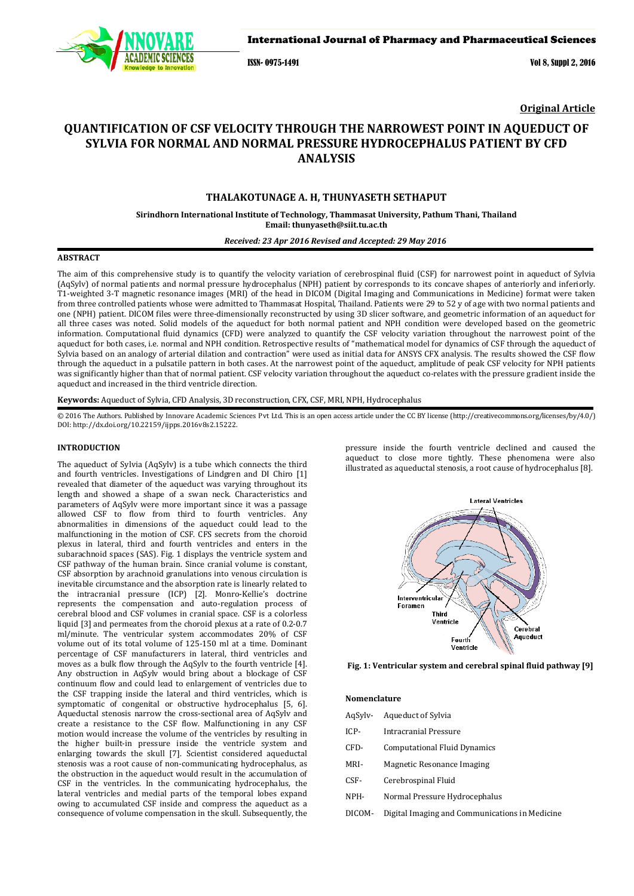

ISSN- 0975-1491 Vol 8, Suppl 2, 2016

**Original Article**

# **QUANTIFICATION OF CSF VELOCITY THROUGH THE NARROWEST POINT IN AQUEDUCT OF SYLVIA FOR NORMAL AND NORMAL PRESSURE HYDROCEPHALUS PATIENT BY CFD ANALYSIS**

# **THALAKOTUNAGE A. H, THUNYASETH SETHAPUT**

**Sirindhorn International Institute of Technology, Thammasat University, Pathum Thani, Thailand Email: thunyaseth@siit.tu.ac.th**

## *Received: 23 Apr 2016 Revised and Accepted: 29 May 2016*

## **ABSTRACT**

The aim of this comprehensive study is to quantify the velocity variation of cerebrospinal fluid (CSF) for narrowest point in aqueduct of Sylvia (AqSylv) of normal patients and normal pressure hydrocephalus (NPH) patient by corresponds to its concave shapes of anteriorly and inferiorly. T1-weighted 3-T magnetic resonance images (MRI) of the head in DICOM (Digital Imaging and Communications in Medicine) format were taken from three controlled patients whose were admitted to Thammasat Hospital, Thailand. Patients were 29 to 52 y of age with two normal patients and one (NPH) patient. DICOM files were three-dimensionally reconstructed by using 3D slicer software, and geometric information of an aqueduct for all three cases was noted. Solid models of the aqueduct for both normal patient and NPH condition were developed based on the geometric information. Computational fluid dynamics (CFD) were analyzed to quantify the CSF velocity variation throughout the narrowest point of the aqueduct for both cases, i.e. normal and NPH condition. Retrospective results of "mathematical model for dynamics of CSF through the aqueduct of Sylvia based on an analogy of arterial dilation and contraction" were used as initial data for ANSYS CFX analysis. The results showed the CSF flow through the aqueduct in a pulsatile pattern in both cases. At the narrowest point of the aqueduct, amplitude of peak CSF velocity for NPH patients was significantly higher than that of normal patient. CSF velocity variation throughout the aqueduct co-relates with the pressure gradient inside the aqueduct and increased in the third ventricle direction.

**Keywords:** Aqueduct of Sylvia, CFD Analysis, 3D reconstruction, CFX, CSF, MRI, NPH, Hydrocephalus

© 2016 The Authors. Published by Innovare Academic Sciences Pvt Ltd. This is an open access article under the CC BY license [\(http://creativecommons.org/licenses/by/4.0/\)](http://creativecommons.org/licenses/by/4.0/) DOI[: http://dx.doi.org/10.22159/ijpps.2016v8s2.1](http://dx.doi.org/10.22159/ijpps.2016v8s2.xxxx)5222.

## **INTRODUCTION**

The aqueduct of Sylvia (AqSylv) is a tube which connects the third and fourth ventricles. Investigations of Lindgren and DI Chiro [1] revealed that diameter of the aqueduct was varying throughout its length and showed a shape of a swan neck. Characteristics and parameters of AqSylv were more important since it was a passage allowed CSF to flow from third to fourth ventricles. Any abnormalities in dimensions of the aqueduct could lead to the malfunctioning in the motion of CSF. CFS secrets from the choroid plexus in lateral, third and fourth ventricles and enters in the subarachnoid spaces (SAS). Fig. 1 displays the ventricle system and CSF pathway of the human brain. Since cranial volume is constant, CSF absorption by arachnoid granulations into venous circulation is inevitable circumstance and the absorption rate is linearly related to the intracranial pressure (ICP) [2]. Monro-Kellie's doctrine represents the compensation and auto-regulation process of cerebral blood and CSF volumes in cranial space. CSF is a colorless liquid [3] and permeates from the choroid plexus at a rate of 0.2-0.7 ml/minute. The ventricular system accommodates 20% of CSF volume out of its total volume of 125-150 ml at a time. Dominant percentage of CSF manufacturers in lateral, third ventricles and moves as a bulk flow through the AqSylv to the fourth ventricle [4]. Any obstruction in AqSylv would bring about a blockage of CSF continuum flow and could lead to enlargement of ventricles due to the CSF trapping inside the lateral and third ventricles, which is symptomatic of congenital or obstructive hydrocephalus [5, 6]. Aqueductal stenosis narrow the cross-sectional area of AqSylv and create a resistance to the CSF flow. Malfunctioning in any CSF motion would increase the volume of the ventricles by resulting in the higher built-in pressure inside the ventricle system and enlarging towards the skull [7]. Scientist considered aqueductal stenosis was a root cause of non-communicating hydrocephalus, as the obstruction in the aqueduct would result in the accumulation of CSF in the ventricles. In the communicating hydrocephalus, the lateral ventricles and medial parts of the temporal lobes expand owing to accumulated CSF inside and compress the aqueduct as a consequence of volume compensation in the skull. Subsequently, the pressure inside the fourth ventricle declined and caused the aqueduct to close more tightly. These phenomena were also illustrated as aqueductal stenosis, a root cause of hydrocephalus [8].



**Fig. 1: Ventricular system and cerebral spinal fluid pathway [9]**

#### **Nomenclature**

| AqSylv- | Aqueduct of Sylvia                             |
|---------|------------------------------------------------|
| ICP-    | Intracranial Pressure                          |
| CFD-    | <b>Computational Fluid Dynamics</b>            |
| MRI-    | Magnetic Resonance Imaging                     |
| CSF-    | Cerebrospinal Fluid                            |
| NPH-    | Normal Pressure Hydrocephalus                  |
| DICOM-  | Digital Imaging and Communications in Medicine |
|         |                                                |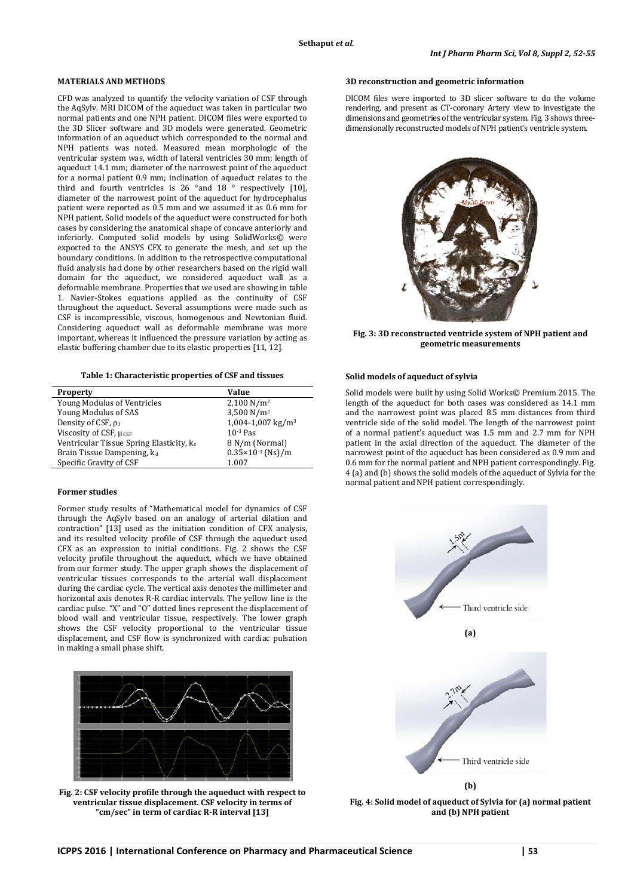## **MATERIALS AND METHODS**

CFD was analyzed to quantify the velocity variation of CSF through the AqSylv. MRI DICOM of the aqueduct was taken in particular two normal patients and one NPH patient. DICOM files were exported to the 3D Slicer software and 3D models were generated. Geometric information of an aqueduct which corresponded to the normal and NPH patients was noted. Measured mean morphologic of the ventricular system was, width of lateral ventricles 30 mm; length of aqueduct 14.1 mm; diameter of the narrowest point of the aqueduct for a normal patient 0.9 mm; inclination of aqueduct relates to the third and fourth ventricles is 26 °and 18 ° respectively [10], diameter of the narrowest point of the aqueduct for hydrocephalus patient were reported as 0.5 mm and we assumed it as 0.6 mm for NPH patient. Solid models of the aqueduct were constructed for both cases by considering the anatomical shape of concave anteriorly and inferiorly. Computed solid models by using SolidWorks© were exported to the ANSYS CFX to generate the mesh, and set up the boundary conditions. In addition to the retrospective computational fluid analysis had done by other researchers based on the rigid wall domain for the aqueduct, we considered aqueduct wall as a deformable membrane. Properties that we used are showing in table 1. Navier-Stokes equations applied as the continuity of CSF throughout the aqueduct. Several assumptions were made such as CSF is incompressible, viscous, homogenous and Newtonian fluid. Considering aqueduct wall as deformable membrane was more important, whereas it influenced the pressure variation by acting as elastic buffering chamber due to its elastic properties [11, 12].

#### **Table 1: Characteristic properties of CSF and tissues**

| <b>Property</b>                          | Value                           |
|------------------------------------------|---------------------------------|
| <b>Young Modulus of Ventricles</b>       | $2,100 \text{ N/m}^2$           |
| Young Modulus of SAS                     | 3,500 N/ $m2$                   |
| Density of CSF, $\rho_f$                 | $1,004-1,007$ kg/m <sup>3</sup> |
| Viscosity of CSF, µCSF                   | $10^{-3}$ Pas                   |
| Ventricular Tissue Spring Elasticity, ke | 8 N/m (Normal)                  |
| Brain Tissue Dampening, kd               | $0.35 \times 10^{-3}$ (Ns)/m    |
| Specific Gravity of CSF                  | 1.007                           |

#### **Former studies**

Former study results of "Mathematical model for dynamics of CSF through the AqSylv based on an analogy of arterial dilation and contraction" [13] used as the initiation condition of CFX analysis, and its resulted velocity profile of CSF through the aqueduct used CFX as an expression to initial conditions. Fig. 2 shows the CSF velocity profile throughout the aqueduct, which we have obtained from our former study. The upper graph shows the displacement of ventricular tissues corresponds to the arterial wall displacement during the cardiac cycle. The vertical axis denotes the millimeter and horizontal axis denotes R-R cardiac intervals. The yellow line is the cardiac pulse. "X" and "O" dotted lines represent the displacement of blood wall and ventricular tissue, respectively. The lower graph shows the CSF velocity proportional to the ventricular tissue displacement, and CSF flow is synchronized with cardiac pulsation in making a small phase shift.



**Fig. 2: CSF velocity profile through the aqueduct with respect to ventricular tissue displacement. CSF velocity in terms of "cm/sec" in term of cardiac R-R interval [13]**

#### **3D reconstruction and geometric information**

DICOM files were imported to 3D slicer software to do the volume rendering, and present as CT-coronary Artery view to investigate the dimensions and geometries of the ventricular system. Fig. 3 shows threedimensionally reconstructed models of NPH patient's ventricle system.



**Fig. 3: 3D reconstructed ventricle system of NPH patient and geometric measurements**

### **Solid models of aqueduct of sylvia**

Solid models were built by using Solid Works© Premium 2015. The length of the aqueduct for both cases was considered as 14.1 mm and the narrowest point was placed 8.5 mm distances from third ventricle side of the solid model. The length of the narrowest point of a normal patient's aqueduct was 1.5 mm and 2.7 mm for NPH patient in the axial direction of the aqueduct. The diameter of the narrowest point of the aqueduct has been considered as 0.9 mm and 0.6 mm for the normal patient and NPH patient correspondingly. Fig. 4 (a) and (b) shows the solid models of the aqueduct of Sylvia for the normal patient and NPH patient correspondingly.



**Fig. 4: Solid model of aqueduct of Sylvia for (a) normal patient and (b) NPH patient**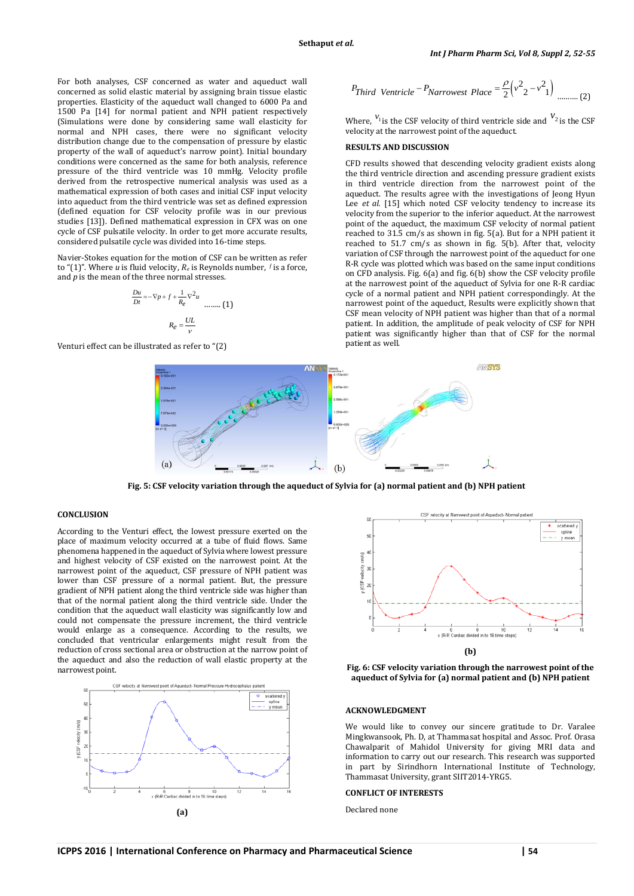For both analyses, CSF concerned as water and aqueduct wall concerned as solid elastic material by assigning brain tissue elastic properties. Elasticity of the aqueduct wall changed to 6000 Pa and 1500 Pa [14] for normal patient and NPH patient respectively (Simulations were done by considering same wall elasticity for normal and NPH cases, there were no significant velocity distribution change due to the compensation of pressure by elastic property of the wall of aqueduct's narrow point). Initial boundary conditions were concerned as the same for both analysis, reference pressure of the third ventricle was 10 mmHg. Velocity profile derived from the retrospective numerical analysis was used as a mathematical expression of both cases and initial CSF input velocity into aqueduct from the third ventricle was set as defined expression (defined equation for CSF velocity profile was in our previous studies [13]). Defined mathematical expression in CFX was on one cycle of CSF pulsatile velocity. In order to get more accurate results, considered pulsatile cycle was divided into 16-time steps.

Navier-Stokes equation for the motion of CSF can be written as refer to " $(1)$ ". Where *u* is fluid velocity,  $R_e$  is Reynolds number,  $f$  is a force, and *p* is the mean of the three normal stresses.

$$
\frac{Du}{Dt} = -\nabla p + f + \frac{1}{R_e}\nabla^2 u
$$
 ....... (1)  

$$
R_e = \frac{UL}{V}
$$

Venturi effect can be illustrated as refer to "(2)

$$
P_{Third\; Ventricle} - P_{Narrowest\; Place} = \frac{\rho}{2} \left( v^2 \frac{2}{2} - v^2 \frac{1}{2} \right) \dots \dots \dots (2)
$$

Where,  $v_1$  is the CSF velocity of third ventricle side and  $v_2$  is the CSF velocity at the narrowest point of the aqueduct.

## **RESULTS AND DISCUSSION**

CFD results showed that descending velocity gradient exists along the third ventricle direction and ascending pressure gradient exists in third ventricle direction from the narrowest point of the aqueduct. The results agree with the investigations of Jeong Hyun Lee *et al.* [15] which noted CSF velocity tendency to increase its velocity from the superior to the inferior aqueduct. At the narrowest point of the aqueduct, the maximum CSF velocity of normal patient reached to 31.5 cm/s as shown in fig. 5(a). But for a NPH patient it reached to 51.7 cm/s as shown in fig. 5(b). After that, velocity variation of CSF through the narrowest point of the aqueduct for one R-R cycle was plotted which was based on the same input conditions on CFD analysis. Fig. 6(a) and fig. 6(b) show the CSF velocity profile at the narrowest point of the aqueduct of Sylvia for one R-R cardiac cycle of a normal patient and NPH patient correspondingly. At the narrowest point of the aqueduct, Results were explicitly shown that CSF mean velocity of NPH patient was higher than that of a normal patient. In addition, the amplitude of peak velocity of CSF for NPH patient was significantly higher than that of CSF for the normal patient as well.



**Fig. 5: CSF velocity variation through the aqueduct of Sylvia for (a) normal patient and (b) NPH patient**

## **CONCLUSION**

According to the Venturi effect, the lowest pressure exerted on the place of maximum velocity occurred at a tube of fluid flows. Same phenomena happened in the aqueduct of Sylvia where lowest pressure and highest velocity of CSF existed on the narrowest point. At the narrowest point of the aqueduct, CSF pressure of NPH patient was lower than CSF pressure of a normal patient. But, the pressure gradient of NPH patient along the third ventricle side was higher than that of the normal patient along the third ventricle side. Under the condition that the aqueduct wall elasticity was significantly low and could not compensate the pressure increment, the third ventricle would enlarge as a consequence. According to the results, we concluded that ventricular enlargements might result from the reduction of cross sectional area or obstruction at the narrow point of the aqueduct and also the reduction of wall elastic property at the narrowest point.





**(b)**

**Fig. 6: CSF velocity variation through the narrowest point of the aqueduct of Sylvia for (a) normal patient and (b) NPH patient**

#### **ACKNOWLEDGMENT**

We would like to convey our sincere gratitude to Dr. Varalee Mingkwansook, Ph. D, at Thammasat hospital and Assoc. Prof. Orasa Chawalparit of Mahidol University for giving MRI data and information to carry out our research. This research was supported in part by Sirindhorn International Institute of Technology, Thammasat University, grant SIIT2014-YRG5.

#### **CONFLICT OF INTERESTS**

Declared none